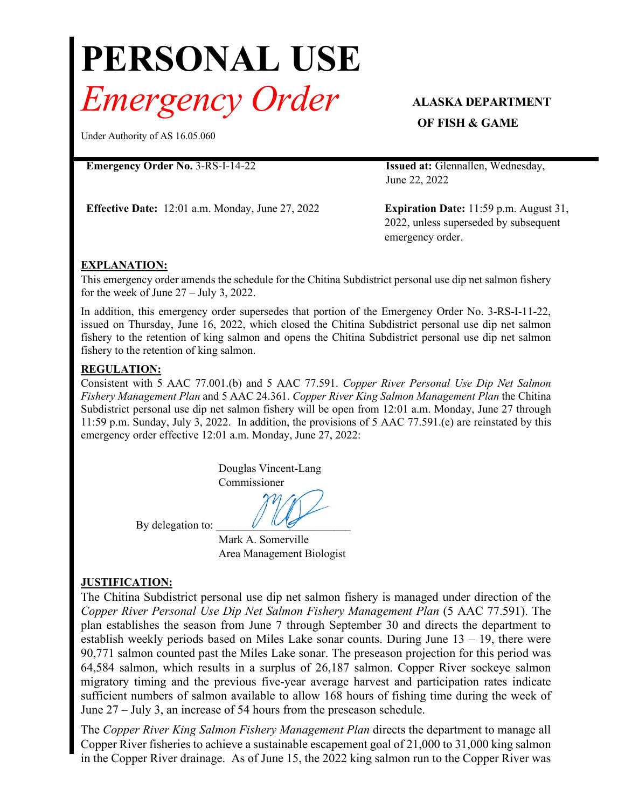# **PERSONAL USE** *Emergency Order* **ALASKA DEPARTMENT**

Under Authority of AS 16.05.060

#### **Emergency Order No.** 3-RS-I-14-22 **Issued at:** Glennallen, Wednesday,

**Effective Date:** 12:01 a.m. Monday, June 27, 2022 **Expiration Date:** 11:59 p.m. August 31,

# **OF FISH & GAME**

June 22, 2022

2022, unless superseded by subsequent emergency order.

## **EXPLANATION:**

This emergency order amends the schedule for the Chitina Subdistrict personal use dip net salmon fishery for the week of June 27 – July 3, 2022.

In addition, this emergency order supersedes that portion of the Emergency Order No. 3-RS-I-11-22, issued on Thursday, June 16, 2022, which closed the Chitina Subdistrict personal use dip net salmon fishery to the retention of king salmon and opens the Chitina Subdistrict personal use dip net salmon fishery to the retention of king salmon.

#### **REGULATION:**

Consistent with 5 AAC 77.001.(b) and 5 AAC 77.591. *Copper River Personal Use Dip Net Salmon Fishery Management Plan* and 5 AAC 24.361. *Copper River King Salmon Management Plan* the Chitina Subdistrict personal use dip net salmon fishery will be open from 12:01 a.m. Monday, June 27 through 11:59 p.m. Sunday, July 3, 2022. In addition, the provisions of 5 AAC 77.591.(e) are reinstated by this emergency order effective 12:01 a.m. Monday, June 27, 2022:

> Douglas Vincent-Lang Commissioner

By delegation to:

Mark A. Somerville Area Management Biologist

## **JUSTIFICATION:**

The Chitina Subdistrict personal use dip net salmon fishery is managed under direction of the *Copper River Personal Use Dip Net Salmon Fishery Management Plan* (5 AAC 77.591). The plan establishes the season from June 7 through September 30 and directs the department to establish weekly periods based on Miles Lake sonar counts. During June 13 – 19, there were 90,771 salmon counted past the Miles Lake sonar. The preseason projection for this period was 64,584 salmon, which results in a surplus of 26,187 salmon. Copper River sockeye salmon migratory timing and the previous five-year average harvest and participation rates indicate sufficient numbers of salmon available to allow 168 hours of fishing time during the week of June 27 – July 3, an increase of 54 hours from the preseason schedule.

The *Copper River King Salmon Fishery Management Plan* directs the department to manage all Copper River fisheries to achieve a sustainable escapement goal of 21,000 to 31,000 king salmon in the Copper River drainage. As of June 15, the 2022 king salmon run to the Copper River was